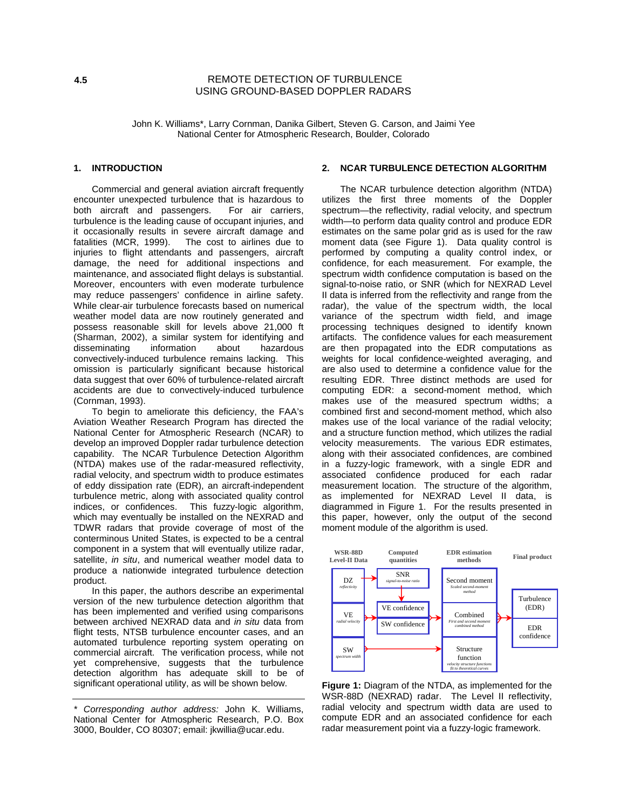# REMOTE DETECTION OF TURBULENCE USING GROUND-BASED DOPPLER RADARS

John K. Williams\*, Larry Cornman, Danika Gilbert, Steven G. Carson, and Jaimi Yee National Center for Atmospheric Research, Boulder, Colorado

### **1. INTRODUCTION**

Commercial and general aviation aircraft frequently encounter unexpected turbulence that is hazardous to both aircraft and passengers. For air carriers, turbulence is the leading cause of occupant injuries, and it occasionally results in severe aircraft damage and fatalities (MCR, 1999). The cost to airlines due to The cost to airlines due to injuries to flight attendants and passengers, aircraft damage, the need for additional inspections and maintenance, and associated flight delays is substantial. Moreover, encounters with even moderate turbulence may reduce passengers' confidence in airline safety. While clear-air turbulence forecasts based on numerical weather model data are now routinely generated and possess reasonable skill for levels above 21,000 ft (Sharman, 2002), a similar system for identifying and disseminating information about hazardous convectively-induced turbulence remains lacking. This omission is particularly significant because historical data suggest that over 60% of turbulence-related aircraft accidents are due to convectively-induced turbulence (Cornman, 1993).

To begin to ameliorate this deficiency, the FAA's Aviation Weather Research Program has directed the National Center for Atmospheric Research (NCAR) to develop an improved Doppler radar turbulence detection capability. The NCAR Turbulence Detection Algorithm (NTDA) makes use of the radar-measured reflectivity, radial velocity, and spectrum width to produce estimates of eddy dissipation rate (EDR), an aircraft-independent turbulence metric, along with associated quality control indices, or confidences. This fuzzy-logic algorithm, which may eventually be installed on the NEXRAD and TDWR radars that provide coverage of most of the conterminous United States, is expected to be a central component in a system that will eventually utilize radar, satellite, *in situ*, and numerical weather model data to produce a nationwide integrated turbulence detection product.

In this paper, the authors describe an experimental version of the new turbulence detection algorithm that has been implemented and verified using comparisons between archived NEXRAD data and in situ data from flight tests, NTSB turbulence encounter cases, and an automated turbulence reporting system operating on commercial aircraft. The verification process, while not yet comprehensive, suggests that the turbulence detection algorithm has adequate skill to be of significant operational utility, as will be shown below.

### **2. NCAR TURBULENCE DETECTION ALGORITHM**

The NCAR turbulence detection algorithm (NTDA) utilizes the first three moments of the Doppler spectrum—the reflectivity, radial velocity, and spectrum width—to perform data quality control and produce EDR estimates on the same polar grid as is used for the raw moment data (see Figure 1). Data quality control is performed by computing a quality control index, or confidence, for each measurement. For example, the spectrum width confidence computation is based on the signal-to-noise ratio, or SNR (which for NEXRAD Level II data is inferred from the reflectivity and range from the radar), the value of the spectrum width, the local variance of the spectrum width field, and image processing techniques designed to identify known artifacts. The confidence values for each measurement are then propagated into the EDR computations as weights for local confidence-weighted averaging, and are also used to determine a confidence value for the resulting EDR. Three distinct methods are used for computing EDR: a second-moment method, which makes use of the measured spectrum widths; a combined first and second-moment method, which also makes use of the local variance of the radial velocity; and a structure function method, which utilizes the radial velocity measurements. The various EDR estimates, along with their associated confidences, are combined in a fuzzy-logic framework, with a single EDR and associated confidence produced for each radar measurement location. The structure of the algorithm, as implemented for NEXRAD Level II data, is diagrammed in Figure 1. For the results presented in this paper, however, only the output of the second moment module of the algorithm is used.



**Figure 1:** Diagram of the NTDA, as implemented for the WSR-88D (NEXRAD) radar. The Level II reflectivity, radial velocity and spectrum width data are used to compute EDR and an associated confidence for each radar measurement point via a fuzzy-logic framework.

<sup>\*</sup> Corresponding author address: John K. Williams, National Center for Atmospheric Research, P.O. Box 3000, Boulder, CO 80307; email: jkwillia@ucar.edu.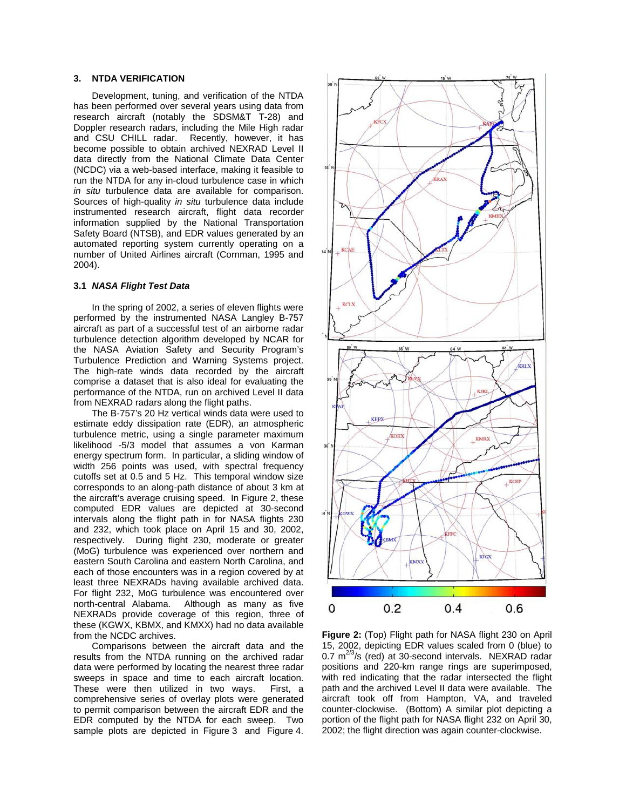# **3. NTDA VERIFICATION**

Development, tuning, and verification of the NTDA has been performed over several years using data from research aircraft (notably the SDSM&T T-28) and Doppler research radars, including the Mile High radar and CSU CHILL radar. Recently, however, it has become possible to obtain archived NEXRAD Level II data directly from the National Climate Data Center (NCDC) via a web-based interface, making it feasible to run the NTDA for any in-cloud turbulence case in which in situ turbulence data are available for comparison. Sources of high-quality in situ turbulence data include instrumented research aircraft, flight data recorder information supplied by the National Transportation Safety Board (NTSB), and EDR values generated by an automated reporting system currently operating on a number of United Airlines aircraft (Cornman, 1995 and 2004).

#### **3.1 NASA Flight Test Data**

In the spring of 2002, a series of eleven flights were performed by the instrumented NASA Langley B-757 aircraft as part of a successful test of an airborne radar turbulence detection algorithm developed by NCAR for the NASA Aviation Safety and Security Program's Turbulence Prediction and Warning Systems project. The high-rate winds data recorded by the aircraft comprise a dataset that is also ideal for evaluating the performance of the NTDA, run on archived Level II data from NEXRAD radars along the flight paths.

The B-757's 20 Hz vertical winds data were used to estimate eddy dissipation rate (EDR), an atmospheric turbulence metric, using a single parameter maximum likelihood -5/3 model that assumes a von Karman energy spectrum form. In particular, a sliding window of width 256 points was used, with spectral frequency cutoffs set at 0.5 and 5 Hz. This temporal window size corresponds to an along-path distance of about 3 km at the aircraft's average cruising speed. In Figure 2, these computed EDR values are depicted at 30-second intervals along the flight path in for NASA flights 230 and 232, which took place on April 15 and 30, 2002, respectively. During flight 230, moderate or greater (MoG) turbulence was experienced over northern and eastern South Carolina and eastern North Carolina, and each of those encounters was in a region covered by at least three NEXRADs having available archived data. For flight 232, MoG turbulence was encountered over north-central Alabama. Although as many as five NEXRADs provide coverage of this region, three of these (KGWX, KBMX, and KMXX) had no data available from the NCDC archives.

Comparisons between the aircraft data and the results from the NTDA running on the archived radar data were performed by locating the nearest three radar sweeps in space and time to each aircraft location. These were then utilized in two ways. First, a comprehensive series of overlay plots were generated to permit comparison between the aircraft EDR and the EDR computed by the NTDA for each sweep. Two sample plots are depicted in Figure 3 and Figure 4.



**Figure 2:** (Top) Flight path for NASA flight 230 on April 15, 2002, depicting EDR values scaled from 0 (blue) to 0.7  $m^{2/3}/s$  (red) at 30-second intervals. NEXRAD radar positions and 220-km range rings are superimposed, with red indicating that the radar intersected the flight path and the archived Level II data were available. The aircraft took off from Hampton, VA, and traveled counter-clockwise. (Bottom) A similar plot depicting a portion of the flight path for NASA flight 232 on April 30, 2002; the flight direction was again counter-clockwise.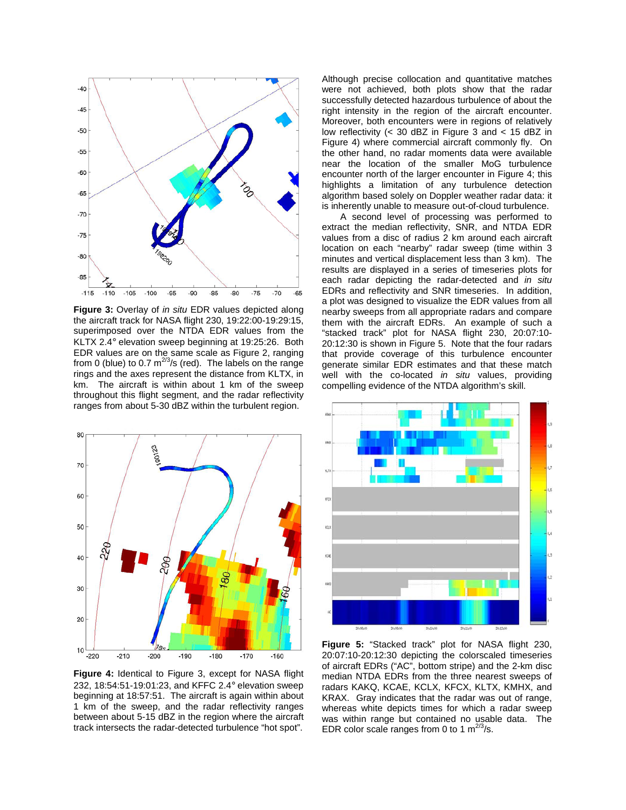

**Figure 3:** Overlay of in situ EDR values depicted along the aircraft track for NASA flight 230, 19:22:00-19:29:15, superimposed over the NTDA EDR values from the KLTX 2.4° elevation sweep beginning at 19:25:26. Both EDR values are on the same scale as Figure 2, ranging from 0 (blue) to 0.7  $m^{2/3}/s$  (red). The labels on the range rings and the axes represent the distance from KLTX, in km. The aircraft is within about 1 km of the sweep throughout this flight segment, and the radar reflectivity ranges from about 5-30 dBZ within the turbulent region.



**Figure 4:** Identical to Figure 3, except for NASA flight 232, 18:54:51-19:01:23, and KFFC 2.4° elevation sweep beginning at 18:57:51. The aircraft is again within about 1 km of the sweep, and the radar reflectivity ranges between about 5-15 dBZ in the region where the aircraft track intersects the radar-detected turbulence "hot spot".

Although precise collocation and quantitative matches were not achieved, both plots show that the radar successfully detected hazardous turbulence of about the right intensity in the region of the aircraft encounter. Moreover, both encounters were in regions of relatively low reflectivity ( $<$  30 dBZ in Figure 3 and  $<$  15 dBZ in Figure 4) where commercial aircraft commonly fly. On the other hand, no radar moments data were available near the location of the smaller MoG turbulence encounter north of the larger encounter in Figure 4; this highlights a limitation of any turbulence detection algorithm based solely on Doppler weather radar data: it is inherently unable to measure out-of-cloud turbulence.

A second level of processing was performed to extract the median reflectivity, SNR, and NTDA EDR values from a disc of radius 2 km around each aircraft location on each "nearby" radar sweep (time within 3 minutes and vertical displacement less than 3 km). The results are displayed in a series of timeseries plots for each radar depicting the radar-detected and in situ EDRs and reflectivity and SNR timeseries. In addition, a plot was designed to visualize the EDR values from all nearby sweeps from all appropriate radars and compare them with the aircraft EDRs. An example of such a "stacked track" plot for NASA flight 230, 20:07:10- 20:12:30 is shown in Figure 5. Note that the four radars that provide coverage of this turbulence encounter generate similar EDR estimates and that these match well with the co-located in situ values, providing compelling evidence of the NTDA algorithm's skill.



**Figure 5:** "Stacked track" plot for NASA flight 230, 20:07:10-20:12:30 depicting the colorscaled timeseries of aircraft EDRs ("AC", bottom stripe) and the 2-km disc median NTDA EDRs from the three nearest sweeps of radars KAKQ, KCAE, KCLX, KFCX, KLTX, KMHX, and KRAX. Gray indicates that the radar was out of range, whereas white depicts times for which a radar sweep was within range but contained no usable data. The EDR color scale ranges from 0 to 1  $m^{2/3}/s$ .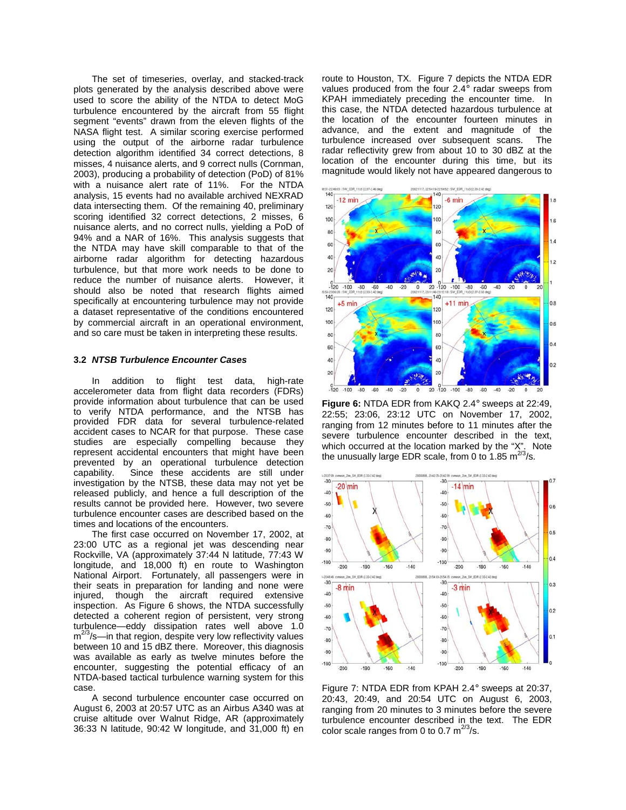The set of timeseries, overlay, and stacked-track plots generated by the analysis described above were used to score the ability of the NTDA to detect MoG turbulence encountered by the aircraft from 55 flight segment "events" drawn from the eleven flights of the NASA flight test. A similar scoring exercise performed using the output of the airborne radar turbulence detection algorithm identified 34 correct detections, 8 misses, 4 nuisance alerts, and 9 correct nulls (Cornman, 2003), producing a probability of detection (PoD) of 81% with a nuisance alert rate of 11%. For the NTDA analysis, 15 events had no available archived NEXRAD data intersecting them. Of the remaining 40, preliminary scoring identified 32 correct detections, 2 misses, 6 nuisance alerts, and no correct nulls, yielding a PoD of 94% and a NAR of 16%. This analysis suggests that the NTDA may have skill comparable to that of the airborne radar algorithm for detecting hazardous turbulence, but that more work needs to be done to reduce the number of nuisance alerts. However, it should also be noted that research flights aimed specifically at encountering turbulence may not provide a dataset representative of the conditions encountered by commercial aircraft in an operational environment, and so care must be taken in interpreting these results.

#### **3.2 NTSB Turbulence Encounter Cases**

In addition to flight test data, high-rate accelerometer data from flight data recorders (FDRs) provide information about turbulence that can be used to verify NTDA performance, and the NTSB has provided FDR data for several turbulence-related accident cases to NCAR for that purpose. These case studies are especially compelling because they represent accidental encounters that might have been prevented by an operational turbulence detection capability. Since these accidents are still under investigation by the NTSB, these data may not yet be released publicly, and hence a full description of the results cannot be provided here. However, two severe turbulence encounter cases are described based on the times and locations of the encounters.

The first case occurred on November 17, 2002, at 23:00 UTC as a regional jet was descending near Rockville, VA (approximately 37:44 N latitude, 77:43 W longitude, and 18,000 ft) en route to Washington National Airport. Fortunately, all passengers were in their seats in preparation for landing and none were injured, though the aircraft required extensive inspection. As Figure 6 shows, the NTDA successfully detected a coherent region of persistent, very strong turbulence—eddy dissipation rates well above 1.0  $m^{2/3}/s$ —in that region, despite very low reflectivity values between 10 and 15 dBZ there. Moreover, this diagnosis was available as early as twelve minutes before the encounter, suggesting the potential efficacy of an NTDA-based tactical turbulence warning system for this case.

A second turbulence encounter case occurred on August 6, 2003 at 20:57 UTC as an Airbus A340 was at cruise altitude over Walnut Ridge, AR (approximately 36:33 N latitude, 90:42 W longitude, and 31,000 ft) en

route to Houston, TX. Figure 7 depicts the NTDA EDR values produced from the four 2.4° radar sweeps from KPAH immediately preceding the encounter time. In this case, the NTDA detected hazardous turbulence at the location of the encounter fourteen minutes in advance, and the extent and magnitude of the turbulence increased over subsequent scans. The radar reflectivity grew from about 10 to 30 dBZ at the location of the encounter during this time, but its magnitude would likely not have appeared dangerous to



**Figure 6:** NTDA EDR from KAKQ 2.4° sweeps at 22:49, 22:55; 23:06, 23:12 UTC on November 17, 2002, ranging from 12 minutes before to 11 minutes after the severe turbulence encounter described in the text, which occurred at the location marked by the "X". Note the unusually large EDR scale, from 0 to 1.85  $\text{m}^{2/3}/\text{s}$ .



Figure 7: NTDA EDR from KPAH 2.4° sweeps at 20:37, 20:43, 20:49, and 20:54 UTC on August 6, 2003, ranging from 20 minutes to 3 minutes before the severe turbulence encounter described in the text. The EDR color scale ranges from 0 to 0.7  $m^{2/3}/s$ .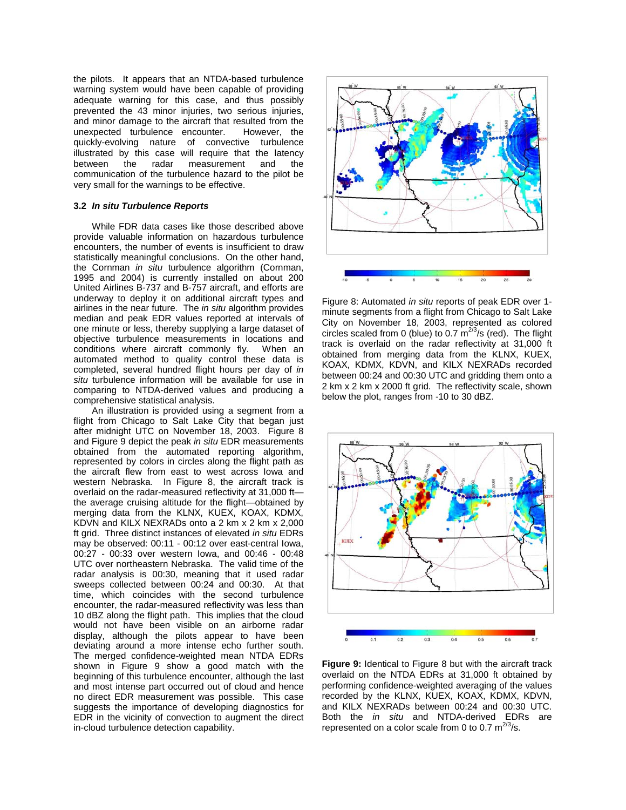the pilots. It appears that an NTDA-based turbulence warning system would have been capable of providing adequate warning for this case, and thus possibly prevented the 43 minor injuries, two serious injuries, and minor damage to the aircraft that resulted from the unexpected turbulence encounter. However, the quickly-evolving nature of convective turbulence illustrated by this case will require that the latency<br>between the radar measurement and the between the radar measurement and the communication of the turbulence hazard to the pilot be very small for the warnings to be effective.

#### **3.2 In situ Turbulence Reports**

While FDR data cases like those described above provide valuable information on hazardous turbulence encounters, the number of events is insufficient to draw statistically meaningful conclusions. On the other hand, the Cornman in situ turbulence algorithm (Cornman, 1995 and 2004) is currently installed on about 200 United Airlines B-737 and B-757 aircraft, and efforts are underway to deploy it on additional aircraft types and airlines in the near future. The in situ algorithm provides median and peak EDR values reported at intervals of one minute or less, thereby supplying a large dataset of objective turbulence measurements in locations and conditions where aircraft commonly fly. When an conditions where aircraft commonly fly. automated method to quality control these data is completed, several hundred flight hours per day of in situ turbulence information will be available for use in comparing to NTDA-derived values and producing a comprehensive statistical analysis.

An illustration is provided using a segment from a flight from Chicago to Salt Lake City that began just after midnight UTC on November 18, 2003. Figure 8 and Figure 9 depict the peak in situ EDR measurements obtained from the automated reporting algorithm, represented by colors in circles along the flight path as the aircraft flew from east to west across Iowa and western Nebraska. In Figure 8, the aircraft track is overlaid on the radar-measured reflectivity at 31,000 ft the average cruising altitude for the flight—obtained by merging data from the KLNX, KUEX, KOAX, KDMX, KDVN and KILX NEXRADs onto a 2 km x 2 km x 2,000 ft grid. Three distinct instances of elevated in situ EDRs may be observed: 00:11 - 00:12 over east-central Iowa, 00:27 - 00:33 over western Iowa, and 00:46 - 00:48 UTC over northeastern Nebraska. The valid time of the radar analysis is 00:30, meaning that it used radar sweeps collected between 00:24 and 00:30. At that time, which coincides with the second turbulence encounter, the radar-measured reflectivity was less than 10 dBZ along the flight path. This implies that the cloud would not have been visible on an airborne radar display, although the pilots appear to have been deviating around a more intense echo further south. The merged confidence-weighted mean NTDA EDRs shown in Figure 9 show a good match with the beginning of this turbulence encounter, although the last and most intense part occurred out of cloud and hence no direct EDR measurement was possible. This case suggests the importance of developing diagnostics for EDR in the vicinity of convection to augment the direct in-cloud turbulence detection capability.



Figure 8: Automated in situ reports of peak EDR over 1 minute segments from a flight from Chicago to Salt Lake City on November 18, 2003, represented as colored circles scaled from 0 (blue) to 0.7  $m^{2/3}/s$  (red). The flight track is overlaid on the radar reflectivity at 31,000 ft obtained from merging data from the KLNX, KUEX, KOAX, KDMX, KDVN, and KILX NEXRADs recorded between 00:24 and 00:30 UTC and gridding them onto a 2 km x 2 km x 2000 ft grid. The reflectivity scale, shown below the plot, ranges from -10 to 30 dBZ.



**Figure 9:** Identical to Figure 8 but with the aircraft track overlaid on the NTDA EDRs at 31,000 ft obtained by performing confidence-weighted averaging of the values recorded by the KLNX, KUEX, KOAX, KDMX, KDVN, and KILX NEXRADs between 00:24 and 00:30 UTC. Both the in situ and NTDA-derived EDRs are represented on a color scale from 0 to 0.7  $m^{2/3}/s$ .